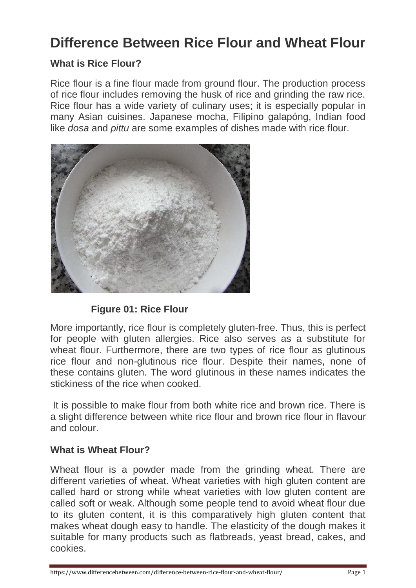## **Difference Between Rice Flour and Wheat Flour**

#### **What is Rice Flour?**

Rice flour is a fine flour made from ground flour. The production process of rice flour includes removing the husk of rice and grinding the raw rice. Rice flour has a wide variety of culinary uses; it is especially popular in many Asian cuisines. Japanese mocha, Filipino galapóng, Indian food like *dosa* and *pittu* are some examples of dishes made with rice flour.



#### **Figure 01: Rice Flour**

More importantly, rice flour is completely gluten-free. Thus, this is perfect for people with gluten allergies. Rice also serves as a substitute for wheat flour. Furthermore, there are two types of rice flour as glutinous rice flour and non-glutinous rice flour. Despite their names, none of these contains gluten. The word glutinous in these names indicates the stickiness of the rice when cooked.

It is possible to make flour from both white rice and brown rice. There is a slight difference between white rice flour and brown rice flour in flavour and colour.

#### **What is Wheat Flour?**

Wheat flour is a powder made from the grinding wheat. There are different varieties of wheat. Wheat varieties with high gluten content are called hard or strong while wheat varieties with low gluten content are called soft or weak. Although some people tend to avoid wheat flour due to its gluten content, it is this comparatively high gluten content that makes wheat dough easy to handle. The elasticity of the dough makes it suitable for many products such as flatbreads, yeast bread, cakes, and cookies.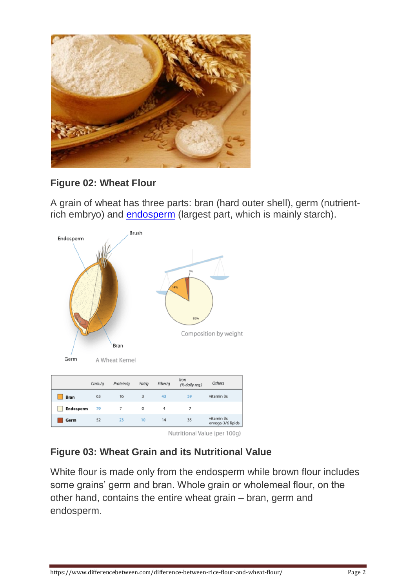

#### **Figure 02: Wheat Flour**

A grain of wheat has three parts: bran (hard outer shell), germ (nutrientrich embryo) and **[endosperm](https://www.differencebetween.com/difference-between-cotyledon-and-endosperm/)** (largest part, which is mainly starch).



Nutritional Value (per 100g)

#### **Figure 03: Wheat Grain and its Nutritional Value**

White flour is made only from the endosperm while brown flour includes some grains' germ and bran. Whole grain or wholemeal flour, on the other hand, contains the entire wheat grain – bran, germ and endosperm.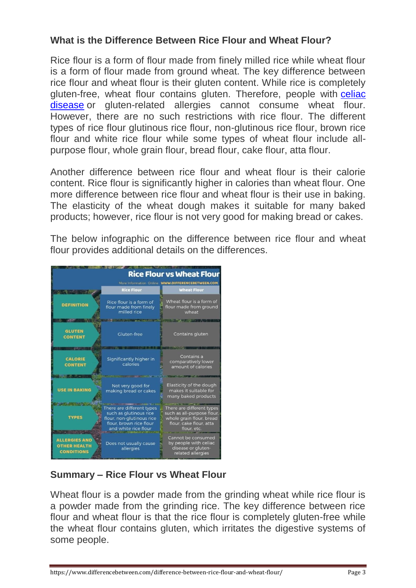#### **What is the Difference Between Rice Flour and Wheat Flour?**

Rice flour is a form of flour made from finely milled rice while wheat flour is a form of flour made from ground wheat. The key difference between rice flour and wheat flour is their gluten content. While rice is completely gluten-free, wheat flour contains gluten. Therefore, people with [celiac](https://www.differencebetween.com/difference-between-celiac-and-crohns-disease/)  [disease](https://www.differencebetween.com/difference-between-celiac-and-crohns-disease/) or gluten-related allergies cannot consume wheat flour. However, there are no such restrictions with rice flour. The different types of rice flour glutinous rice flour, non-glutinous rice flour, brown rice flour and white rice flour while some types of wheat flour include allpurpose flour, whole grain flour, bread flour, cake flour, atta flour.

Another difference between rice flour and wheat flour is their calorie content. Rice flour is significantly higher in calories than wheat flour. One more difference between rice flour and wheat flour is their use in baking. The elasticity of the wheat dough makes it suitable for many baked products; however, rice flour is not very good for making bread or cakes.

The below infographic on the difference between rice flour and wheat flour provides additional details on the differences.



### **Summary – Rice Flour vs Wheat Flour**

Wheat flour is a powder made from the grinding wheat while rice flour is a powder made from the grinding rice. The key difference between rice flour and wheat flour is that the rice flour is completely gluten-free while the wheat flour contains gluten, which irritates the digestive systems of some people.